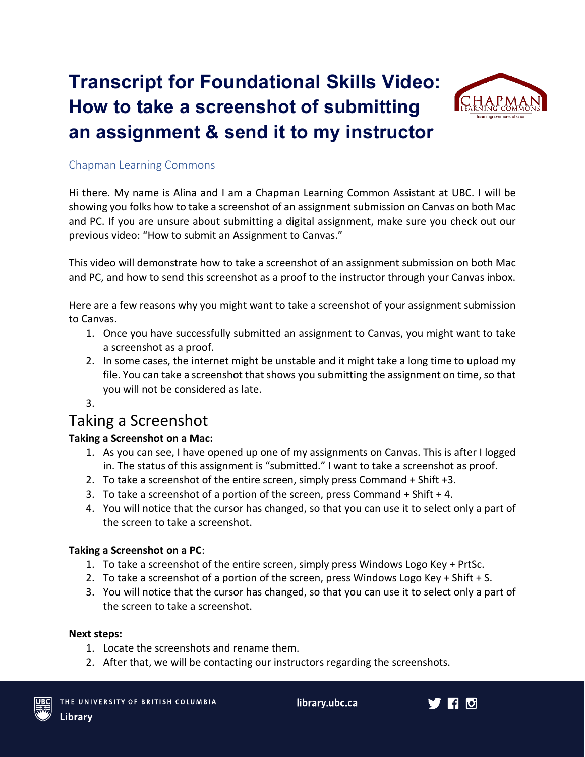# **Transcript for Foundational Skills Video: How to take a screenshot of submitting an assignment & send it to my instructor**



#### Chapman Learning Commons

Hi there. My name is Alina and I am a Chapman Learning Common Assistant at UBC. I will be showing you folks how to take a screenshot of an assignment submission on Canvas on both Mac and PC. If you are unsure about submitting a digital assignment, make sure you check out our previous video: "How to submit an Assignment to Canvas."

This video will demonstrate how to take a screenshot of an assignment submission on both Mac and PC, and how to send this screenshot as a proof to the instructor through your Canvas inbox.

Here are a few reasons why you might want to take a screenshot of your assignment submission to Canvas.

- 1. Once you have successfully submitted an assignment to Canvas, you might want to take a screenshot as a proof.
- 2. In some cases, the internet might be unstable and it might take a long time to upload my file. You can take a screenshot that shows you submitting the assignment on time, so that you will not be considered as late.
- 3.

## Taking a Screenshot

#### **Taking a Screenshot on a Mac:**

- 1. As you can see, I have opened up one of my assignments on Canvas. This is after I logged in. The status of this assignment is "submitted." I want to take a screenshot as proof.
- 2. To take a screenshot of the entire screen, simply press Command + Shift +3.
- 3. To take a screenshot of a portion of the screen, press Command + Shift + 4.
- 4. You will notice that the cursor has changed, so that you can use it to select only a part of the screen to take a screenshot.

#### **Taking a Screenshot on a PC**:

- 1. To take a screenshot of the entire screen, simply press Windows Logo Key + PrtSc.
- 2. To take a screenshot of a portion of the screen, press Windows Logo Key + Shift + S.
- 3. You will notice that the cursor has changed, so that you can use it to select only a part of the screen to take a screenshot.

#### **Next steps:**

- 1. Locate the screenshots and rename them.
- 2. After that, we will be contacting our instructors regarding the screenshots.



library.ubc.ca